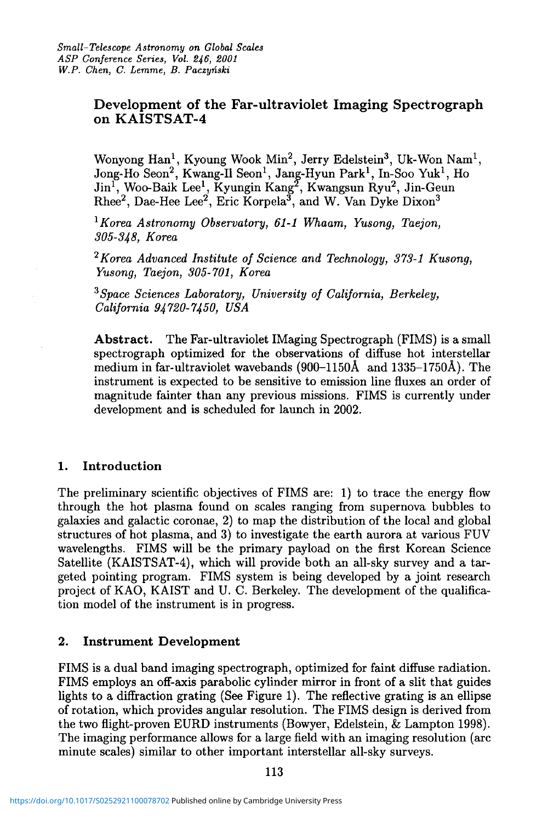## **Development of the Far-ultraviolet Imaging Spectrograph on KAISTSAT- 4**

Wonyong Han<sup>1</sup>, Kyoung Wook Min<sup>2</sup>, Jerry Edelstein<sup>3</sup>, Uk-Won Nam<sup>1</sup>, Jong-Ho Seon<sup>2</sup>, Kwang-Il Seon<sup>1</sup>, Jang-Hyun Park<sup>1</sup>, In-Soo Yuk<sup>1</sup>, Ho Jin<sup>1</sup>, Woo-Baik Lee<sup>1</sup>, Kyungin Kang<sup>2</sup>, Kwangsun Ryu<sup>2</sup>, Jin-Geun Rhee<sup>2</sup>, Dae-Hee Lee<sup>2</sup>, Eric Korpela<sup>3</sup>, and W. Van Dyke Dixon<sup>3</sup>

1  *Korea Astronomy Observatory, 61-1 Whaam, Yusong, Taejon, 305-348, Korea* 

*2 Korea Advanced Institute of Science and Technology, 373-1 Kusong, Yusong, Taejon, 305-701, Korea* 

*3 Space Sciences Laboratory, University of California, Berkeley, California 94720-7450, USA* 

**Abstract.** The Far-ultraviolet IMaging Spectrograph (FIMS) is a small spectrograph optimized for the observations of diffuse hot interstellar medium in far-ultraviolet wavebands (900-1150A and 1335-1750A). The instrument is expected to be sensitive to emission line fluxes an order of magnitude fainter than any previous missions. FIMS is currently under development and is scheduled for launch in 2002.

## **1. Introduction**

The preliminary scientific objectives of FIMS are: 1) to trace the energy flow through the hot plasma found on scales ranging from supernova bubbles to galaxies and galactic coronae, 2) to map the distribution of the local and global structures of hot plasma, and 3) to investigate the earth aurora at various FUV wavelengths. FIMS will be the primary payload on the first Korean Science Satellite (KAISTSAT-4), which will provide both an all-sky survey and a targeted pointing program. FIMS system is being developed by a joint research project of KAO, KAIST and U. C. Berkeley. The development of the qualification model of the instrument is in progress.

## **2. Instrument Development**

FIMS is a dual band imaging spectrograph, optimized for faint diffuse radiation. FIMS employs an off-axis parabolic cylinder mirror in front of a slit that guides lights to a diffraction grating (See Figure 1). The reflective grating is an ellipse of rotation, which provides angular resolution. The FIMS design is derived from the two flight-proven EURD instruments (Bowyer, Edelstein, & Lampton 1998). The imaging performance allows for a large field with an imaging resolution (arc minute scales) similar to other important interstellar all-sky surveys.